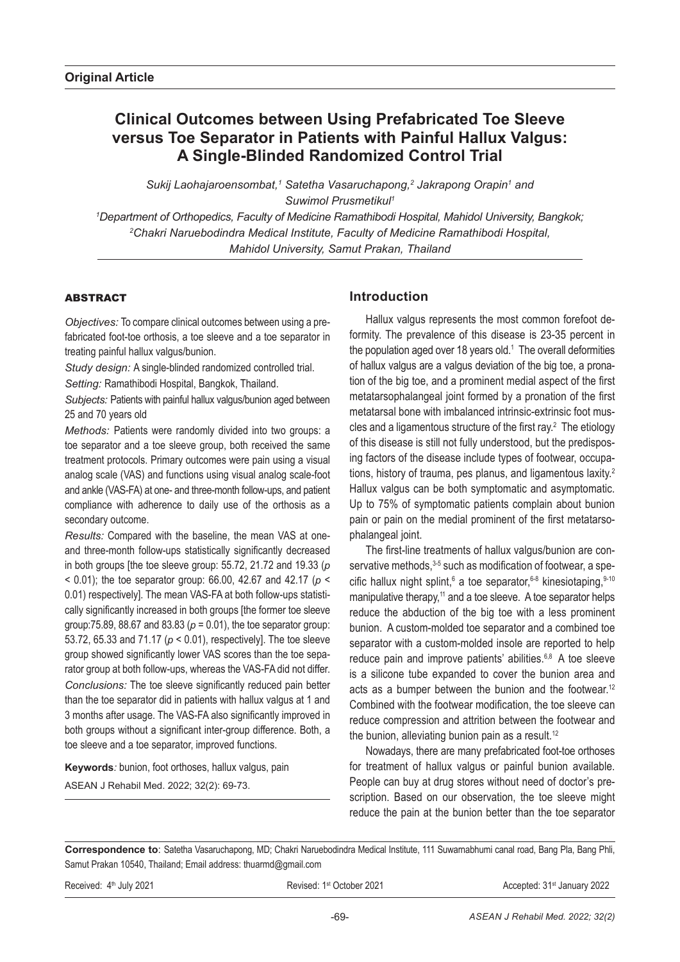# **Clinical Outcomes between Using Prefabricated Toe Sleeve versus Toe Separator in Patients with Painful Hallux Valgus: A Single-Blinded Randomized Control Trial**

Sukij Laohajaroensombat,<sup>1</sup> Satetha Vasaruchapong,<sup>2</sup> Jakrapong Orapin<sup>1</sup> and *Suwimol Prusmetikul1*

*1 Department of Orthopedics, Faculty of Medicine Ramathibodi Hospital, Mahidol University, Bangkok; 2 Chakri Naruebodindra Medical Institute, Faculty of Medicine Ramathibodi Hospital, Mahidol University, Samut Prakan, Thailand*

## **ABSTRACT**

*Objectives:* To compare clinical outcomes between using a prefabricated foot-toe orthosis, a toe sleeve and a toe separator in treating painful hallux valgus/bunion.

*Study design:* A single-blinded randomized controlled trial. *Setting:* Ramathibodi Hospital, Bangkok, Thailand.

*Subjects:* Patients with painful hallux valgus/bunion aged between 25 and 70 years old

*Methods:* Patients were randomly divided into two groups: a toe separator and a toe sleeve group, both received the same treatment protocols. Primary outcomes were pain using a visual analog scale (VAS) and functions using visual analog scale-foot and ankle (VAS-FA) at one- and three-month follow-ups, and patient compliance with adherence to daily use of the orthosis as a secondary outcome.

*Results:* Compared with the baseline, the mean VAS at oneand three-month follow-ups statistically significantly decreased in both groups [the toe sleeve group: 55.72, 21.72 and 19.33 (*p* < 0.01); the toe separator group: 66.00, 42.67 and 42.17 (*p* < 0.01) respectively]. The mean VAS-FA at both follow-ups statistically significantly increased in both groups [the former toe sleeve group:75.89, 88.67 and 83.83 (*p* = 0.01), the toe separator group: 53.72, 65.33 and 71.17 (*p* < 0.01), respectively]. The toe sleeve group showed significantly lower VAS scores than the toe separator group at both follow-ups, whereas the VAS-FA did not differ. *Conclusions:* The toe sleeve significantly reduced pain better than the toe separator did in patients with hallux valgus at 1 and 3 months after usage. The VAS-FA also significantly improved in both groups without a significant inter-group difference. Both, a toe sleeve and a toe separator, improved functions.

**Keywords***:* bunion, foot orthoses, hallux valgus, pain ASEAN J Rehabil Med. 2022; 32(2): 69-73.

## **Introduction**

Hallux valgus represents the most common forefoot deformity. The prevalence of this disease is 23-35 percent in the population aged over 18 years old.<sup>1</sup> The overall deformities of hallux valgus are a valgus deviation of the big toe, a pronation of the big toe, and a prominent medial aspect of the first metatarsophalangeal joint formed by a pronation of the first metatarsal bone with imbalanced intrinsic-extrinsic foot muscles and a ligamentous structure of the first ray. $2$  The etiology of this disease is still not fully understood, but the predisposing factors of the disease include types of footwear, occupations, history of trauma, pes planus, and ligamentous laxity.2 Hallux valgus can be both symptomatic and asymptomatic. Up to 75% of symptomatic patients complain about bunion pain or pain on the medial prominent of the first metatarsophalangeal joint.

The first-line treatments of hallux valgus/bunion are conservative methods, 3-5 such as modification of footwear, a specific hallux night splint,<sup>6</sup> a toe separator,<sup>6-8</sup> kinesiotaping,  $9-10$ manipulative therapy,<sup>11</sup> and a toe sleeve. A toe separator helps reduce the abduction of the big toe with a less prominent bunion. A custom-molded toe separator and a combined toe separator with a custom-molded insole are reported to help reduce pain and improve patients' abilities.<sup>6,8</sup> A toe sleeve is a silicone tube expanded to cover the bunion area and acts as a bumper between the bunion and the footwear.<sup>12</sup> Combined with the footwear modification, the toe sleeve can reduce compression and attrition between the footwear and the bunion, alleviating bunion pain as a result.<sup>12</sup>

Nowadays, there are many prefabricated foot-toe orthoses for treatment of hallux valgus or painful bunion available. People can buy at drug stores without need of doctor's prescription. Based on our observation, the toe sleeve might reduce the pain at the bunion better than the toe separator

**Correspondence to**: Satetha Vasaruchapong, MD; Chakri Naruebodindra Medical Institute, 111 Suwarnabhumi canal road, Bang Pla, Bang Phli, Samut Prakan 10540, Thailand; Email address: thuarmd@gmail.com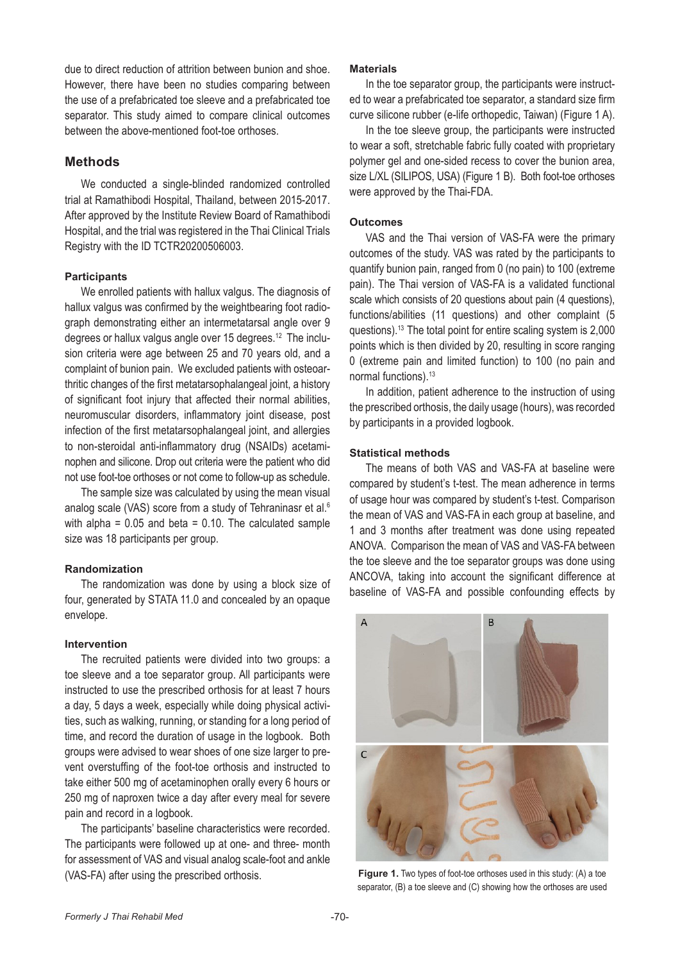due to direct reduction of attrition between bunion and shoe. However, there have been no studies comparing between the use of a prefabricated toe sleeve and a prefabricated toe separator. This study aimed to compare clinical outcomes between the above-mentioned foot-toe orthoses.

## **Methods**

We conducted a single-blinded randomized controlled trial at Ramathibodi Hospital, Thailand, between 2015-2017. After approved by the Institute Review Board of Ramathibodi Hospital, and the trial was registered in the Thai Clinical Trials Registry with the ID TCTR20200506003.

#### **Participants**

We enrolled patients with hallux valgus. The diagnosis of hallux valgus was confirmed by the weightbearing foot radiograph demonstrating either an intermetatarsal angle over 9 degrees or hallux valgus angle over 15 degrees.<sup>12</sup> The inclusion criteria were age between 25 and 70 years old, and a complaint of bunion pain. We excluded patients with osteoarthritic changes of the first metatarsophalangeal joint, a history of significant foot injury that affected their normal abilities, neuromuscular disorders, inflammatory joint disease, post infection of the first metatarsophalangeal joint, and allergies to non-steroidal anti-inflammatory drug (NSAIDs) acetaminophen and silicone. Drop out criteria were the patient who did not use foot-toe orthoses or not come to follow-up as schedule.

The sample size was calculated by using the mean visual analog scale (VAS) score from a study of Tehraninasr et al.<sup>6</sup> with alpha =  $0.05$  and beta =  $0.10$ . The calculated sample size was 18 participants per group.

## **Randomization**

The randomization was done by using a block size of four, generated by STATA 11.0 and concealed by an opaque envelope.

#### **Intervention**

The recruited patients were divided into two groups: a toe sleeve and a toe separator group. All participants were instructed to use the prescribed orthosis for at least 7 hours a day, 5 days a week, especially while doing physical activities, such as walking, running, or standing for a long period of time, and record the duration of usage in the logbook. Both groups were advised to wear shoes of one size larger to prevent overstuffing of the foot-toe orthosis and instructed to take either 500 mg of acetaminophen orally every 6 hours or 250 mg of naproxen twice a day after every meal for severe pain and record in a logbook.

The participants' baseline characteristics were recorded. The participants were followed up at one- and three- month for assessment of VAS and visual analog scale-foot and ankle (VAS-FA) after using the prescribed orthosis.

#### **Materials**

In the toe separator group, the participants were instructed to wear a prefabricated toe separator, a standard size firm curve silicone rubber (e-life orthopedic, Taiwan) (Figure 1 A).

In the toe sleeve group, the participants were instructed to wear a soft, stretchable fabric fully coated with proprietary polymer gel and one-sided recess to cover the bunion area, size L/XL (SILIPOS, USA) (Figure 1 B). Both foot-toe orthoses were approved by the Thai-FDA.

#### **Outcomes**

VAS and the Thai version of VAS-FA were the primary outcomes of the study. VAS was rated by the participants to quantify bunion pain, ranged from 0 (no pain) to 100 (extreme pain). The Thai version of VAS-FA is a validated functional scale which consists of 20 questions about pain (4 questions), functions/abilities (11 questions) and other complaint (5 questions).13 The total point for entire scaling system is 2,000 points which is then divided by 20, resulting in score ranging 0 (extreme pain and limited function) to 100 (no pain and normal functions).13

In addition, patient adherence to the instruction of using the prescribed orthosis, the daily usage (hours), was recorded by participants in a provided logbook.

#### **Statistical methods**

The means of both VAS and VAS-FA at baseline were compared by student's t-test. The mean adherence in terms of usage hour was compared by student's t-test. Comparison the mean of VAS and VAS-FA in each group at baseline, and 1 and 3 months after treatment was done using repeated ANOVA. Comparison the mean of VAS and VAS-FA between the toe sleeve and the toe separator groups was done using ANCOVA, taking into account the significant difference at baseline of VAS-FA and possible confounding effects by



**Figure 1.** Two types of foot-toe orthoses used in this study: (A) a toe separator, (B) a toe sleeve and (C) showing how the orthoses are used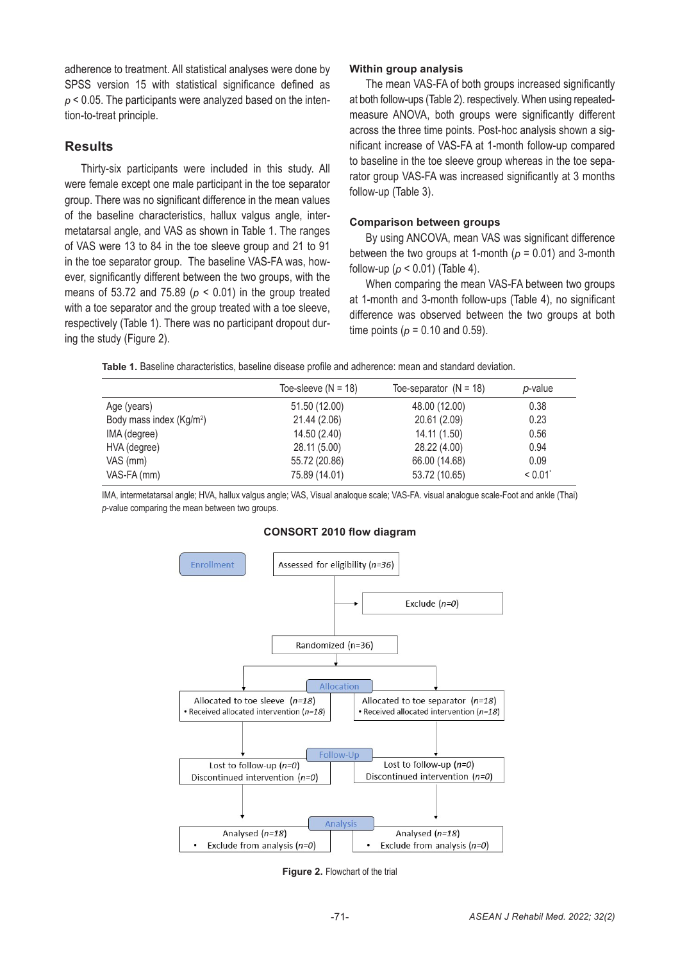adherence to treatment. All statistical analyses were done by SPSS version 15 with statistical significance defined as *p* < 0.05. The participants were analyzed based on the intention-to-treat principle.

## **Results**

Thirty-six participants were included in this study. All were female except one male participant in the toe separator group. There was no significant difference in the mean values of the baseline characteristics, hallux valgus angle, intermetatarsal angle, and VAS as shown in Table 1. The ranges of VAS were 13 to 84 in the toe sleeve group and 21 to 91 in the toe separator group. The baseline VAS-FA was, however, significantly different between the two groups, with the means of 53.72 and 75.89 (*p* < 0.01) in the group treated with a toe separator and the group treated with a toe sleeve, respectively (Table 1). There was no participant dropout during the study (Figure 2).

#### **Within group analysis**

The mean VAS-FA of both groups increased significantly at both follow-ups (Table 2). respectively. When using repeatedmeasure ANOVA, both groups were significantly different across the three time points. Post-hoc analysis shown a significant increase of VAS-FA at 1-month follow-up compared to baseline in the toe sleeve group whereas in the toe separator group VAS-FA was increased significantly at 3 months follow-up (Table 3).

#### **Comparison between groups**

By using ANCOVA, mean VAS was significant difference between the two groups at 1-month (*p* = 0.01) and 3-month follow-up (*p* < 0.01) (Table 4).

When comparing the mean VAS-FA between two groups at 1-month and 3-month follow-ups (Table 4), no significant difference was observed between the two groups at both time points ( $p = 0.10$  and 0.59).

| Table 1. Baseline characteristics, baseline disease profile and adherence: mean and standard deviation. |  |
|---------------------------------------------------------------------------------------------------------|--|
|---------------------------------------------------------------------------------------------------------|--|

|                                      | Toe-sleeve $(N = 18)$ | Toe-separator $(N = 18)$ | p-value |
|--------------------------------------|-----------------------|--------------------------|---------|
| Age (years)                          | 51.50 (12.00)         | 48.00 (12.00)            | 0.38    |
| Body mass index (Kg/m <sup>2</sup> ) | 21.44 (2.06)          | 20.61 (2.09)             | 0.23    |
| IMA (degree)                         | 14.50 (2.40)          | 14.11 (1.50)             | 0.56    |
| HVA (degree)                         | 28.11 (5.00)          | 28.22 (4.00)             | 0.94    |
| VAS (mm)                             | 55.72 (20.86)         | 66.00 (14.68)            | 0.09    |
| VAS-FA (mm)                          | 75.89 (14.01)         | 53.72 (10.65)            | < 0.01  |

IMA, intermetatarsal angle; HVA, hallux valgus angle; VAS, Visual analoque scale; VAS-FA. visual analogue scale-Foot and ankle (Thai) *p*-value comparing the mean between two groups.



#### **CONSORT 2010 flow diagram**

**Figure 2. Flowchart of the trial**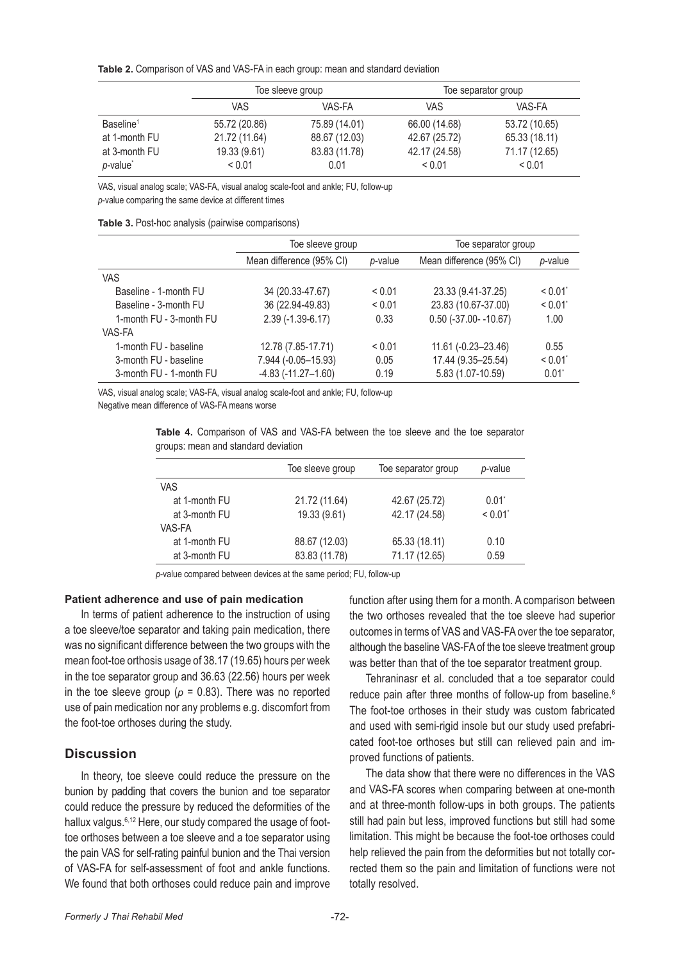**Table 2.** Comparison of VAS and VAS-FA in each group: mean and standard deviation

|                       | Toe sleeve group |               | Toe separator group |               |
|-----------------------|------------------|---------------|---------------------|---------------|
|                       | VAS              | VAS-FA        | VAS                 | VAS-FA        |
| Baseline <sup>1</sup> | 55.72 (20.86)    | 75.89 (14.01) | 66.00 (14.68)       | 53.72 (10.65) |
| at 1-month FU         | 21.72 (11.64)    | 88.67 (12.03) | 42.67 (25.72)       | 65.33 (18.11) |
| at 3-month FU         | 19.33 (9.61)     | 83.83 (11.78) | 42.17 (24.58)       | 71.17 (12.65) |
| p-value <sup>*</sup>  | < 0.01           | 0.01          | < 0.01              | < 0.01        |

VAS, visual analog scale; VAS-FA, visual analog scale-foot and ankle; FU, follow-up

*p*-value comparing the same device at different times

| Table 3. Post-hoc analysis (pairwise comparisons) |  |  |  |
|---------------------------------------------------|--|--|--|
|---------------------------------------------------|--|--|--|

|                         | Toe sleeve group          |         | Toe separator group        |          |
|-------------------------|---------------------------|---------|----------------------------|----------|
|                         | Mean difference (95% CI)  | p-value | Mean difference (95% CI)   | p-value  |
| <b>VAS</b>              |                           |         |                            |          |
| Baseline - 1-month FU   | 34 (20.33-47.67)          | < 0.01  | 23.33 (9.41-37.25)         | < 0.01   |
| Baseline - 3-month FU   | 36 (22.94-49.83)          | < 0.01  | 23.83 (10.67-37.00)        | < 0.01   |
| 1-month FU - 3-month FU | $2.39(-1.39-6.17)$        | 0.33    | $0.50$ (-37.00- $-10.67$ ) | 1.00     |
| VAS-FA                  |                           |         |                            |          |
| 1-month FU - baseline   | 12.78 (7.85-17.71)        | < 0.01  | $11.61 (-0.23 - 23.46)$    | 0.55     |
| 3-month FU - baseline   | 7.944 (-0.05-15.93)       | 0.05    | 17.44 (9.35-25.54)         | < 0.01   |
| 3-month FU - 1-month FU | $-4.83$ $(-11.27 - 1.60)$ | 0.19    | 5.83 (1.07-10.59)          | $0.01^*$ |

VAS, visual analog scale; VAS-FA, visual analog scale-foot and ankle; FU, follow-up

Negative mean difference of VAS-FA means worse

**Table 4.** Comparison of VAS and VAS-FA between the toe sleeve and the toe separator groups: mean and standard deviation

|               | Toe sleeve group | Toe separator group | p-value  |
|---------------|------------------|---------------------|----------|
| <b>VAS</b>    |                  |                     |          |
| at 1-month FU | 21.72 (11.64)    | 42.67 (25.72)       | $0.01^*$ |
| at 3-month FU | 19.33 (9.61)     | 42.17 (24.58)       | < 0.01   |
| VAS-FA        |                  |                     |          |
| at 1-month FU | 88.67 (12.03)    | 65.33 (18.11)       | 0.10     |
| at 3-month FU | 83.83 (11.78)    | 71.17 (12.65)       | 0.59     |

*p*-value compared between devices at the same period; FU, follow-up

#### **Patient adherence and use of pain medication**

In terms of patient adherence to the instruction of using a toe sleeve/toe separator and taking pain medication, there was no significant difference between the two groups with the mean foot-toe orthosis usage of 38.17 (19.65) hours per week in the toe separator group and 36.63 (22.56) hours per week in the toe sleeve group ( $p = 0.83$ ). There was no reported use of pain medication nor any problems e.g. discomfort from the foot-toe orthoses during the study.

## **Discussion**

In theory, toe sleeve could reduce the pressure on the bunion by padding that covers the bunion and toe separator could reduce the pressure by reduced the deformities of the hallux valgus.<sup>6,12</sup> Here, our study compared the usage of foottoe orthoses between a toe sleeve and a toe separator using the pain VAS for self-rating painful bunion and the Thai version of VAS-FA for self-assessment of foot and ankle functions. We found that both orthoses could reduce pain and improve function after using them for a month. A comparison between the two orthoses revealed that the toe sleeve had superior outcomes in terms of VAS and VAS-FA over the toe separator, although the baseline VAS-FA of the toe sleeve treatment group was better than that of the toe separator treatment group.

Tehraninasr et al. concluded that a toe separator could reduce pain after three months of follow-up from baseline.<sup>6</sup> The foot-toe orthoses in their study was custom fabricated and used with semi-rigid insole but our study used prefabricated foot-toe orthoses but still can relieved pain and improved functions of patients.

The data show that there were no differences in the VAS and VAS-FA scores when comparing between at one-month and at three-month follow-ups in both groups. The patients still had pain but less, improved functions but still had some limitation. This might be because the foot-toe orthoses could help relieved the pain from the deformities but not totally corrected them so the pain and limitation of functions were not totally resolved.